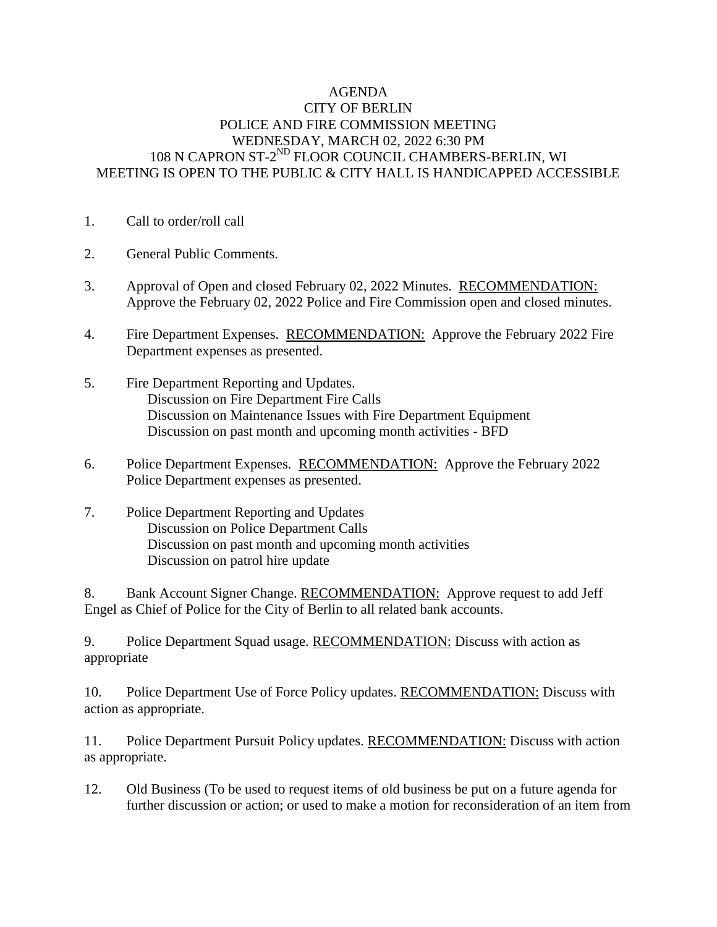## AGENDA CITY OF BERLIN POLICE AND FIRE COMMISSION MEETING WEDNESDAY, MARCH 02, 2022 6:30 PM 108 N CAPRON ST-2<sup>ND</sup> FLOOR COUNCIL CHAMBERS-BERLIN, WI MEETING IS OPEN TO THE PUBLIC & CITY HALL IS HANDICAPPED ACCESSIBLE

- 1. Call to order/roll call
- 2. General Public Comments.
- 3. Approval of Open and closed February 02, 2022 Minutes. RECOMMENDATION: Approve the February 02, 2022 Police and Fire Commission open and closed minutes.
- 4. Fire Department Expenses. RECOMMENDATION: Approve the February 2022 Fire Department expenses as presented.
- 5. Fire Department Reporting and Updates. Discussion on Fire Department Fire Calls Discussion on Maintenance Issues with Fire Department Equipment Discussion on past month and upcoming month activities - BFD
- 6. Police Department Expenses. RECOMMENDATION: Approve the February 2022 Police Department expenses as presented.
- 7. Police Department Reporting and Updates Discussion on Police Department Calls Discussion on past month and upcoming month activities Discussion on patrol hire update

8. Bank Account Signer Change. RECOMMENDATION: Approve request to add Jeff Engel as Chief of Police for the City of Berlin to all related bank accounts.

9. Police Department Squad usage. RECOMMENDATION: Discuss with action as appropriate

10. Police Department Use of Force Policy updates. RECOMMENDATION: Discuss with action as appropriate.

11. Police Department Pursuit Policy updates. RECOMMENDATION: Discuss with action as appropriate.

12. Old Business (To be used to request items of old business be put on a future agenda for further discussion or action; or used to make a motion for reconsideration of an item from